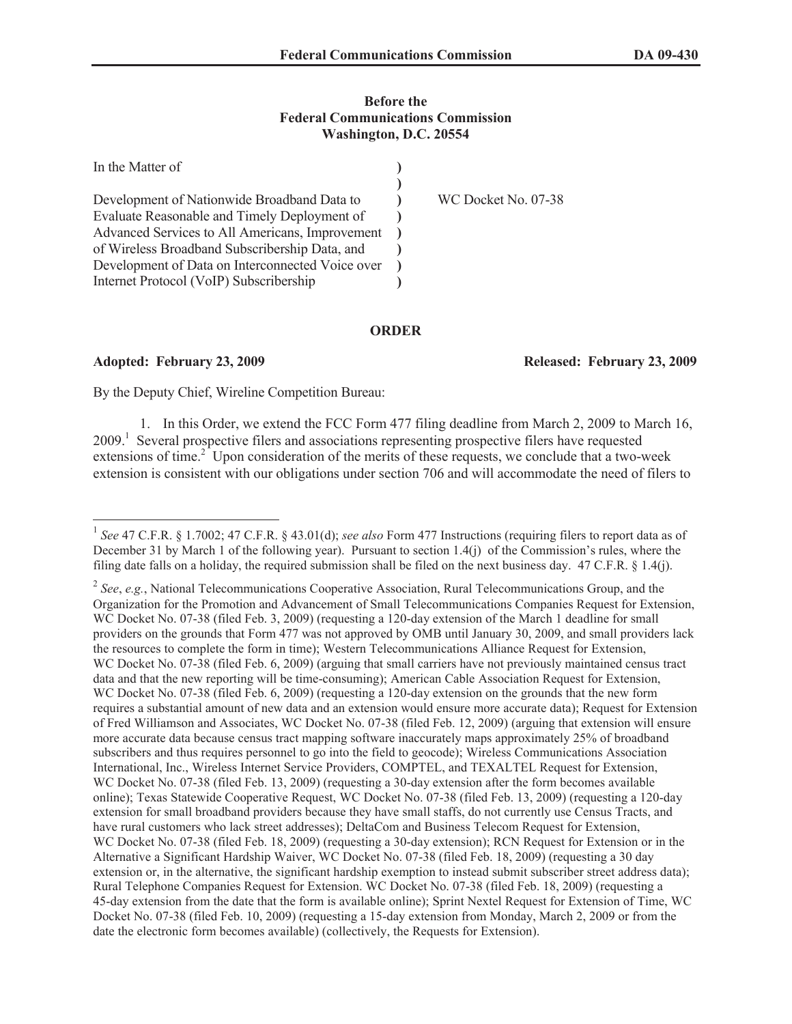## **Before the Federal Communications Commission Washington, D.C. 20554**

| In the Matter of                                 |                     |
|--------------------------------------------------|---------------------|
|                                                  |                     |
| Development of Nationwide Broadband Data to      | WC Docket No. 07-38 |
| Evaluate Reasonable and Timely Deployment of     |                     |
| Advanced Services to All Americans, Improvement  |                     |
| of Wireless Broadband Subscribership Data, and   |                     |
| Development of Data on Interconnected Voice over |                     |
| Internet Protocol (VoIP) Subscribership          |                     |

## **ORDER**

## **Adopted: February 23, 2009 Released: February 23, 2009**

By the Deputy Chief, Wireline Competition Bureau:

1. In this Order, we extend the FCC Form 477 filing deadline from March 2, 2009 to March 16, 2009.<sup>1</sup> Several prospective filers and associations representing prospective filers have requested extensions of time.<sup>2</sup> Upon consideration of the merits of these requests, we conclude that a two-week extension is consistent with our obligations under section 706 and will accommodate the need of filers to

<sup>1</sup> *See* 47 C.F.R. § 1.7002; 47 C.F.R. § 43.01(d); *see also* Form 477 Instructions (requiring filers to report data as of December 31 by March 1 of the following year). Pursuant to section 1.4(j) of the Commission's rules, where the filing date falls on a holiday, the required submission shall be filed on the next business day. 47 C.F.R. § 1.4(j).

<sup>2</sup> *See*, *e.g.*, National Telecommunications Cooperative Association, Rural Telecommunications Group, and the Organization for the Promotion and Advancement of Small Telecommunications Companies Request for Extension, WC Docket No. 07-38 (filed Feb. 3, 2009) (requesting a 120-day extension of the March 1 deadline for small providers on the grounds that Form 477 was not approved by OMB until January 30, 2009, and small providers lack the resources to complete the form in time); Western Telecommunications Alliance Request for Extension, WC Docket No. 07-38 (filed Feb. 6, 2009) (arguing that small carriers have not previously maintained census tract data and that the new reporting will be time-consuming); American Cable Association Request for Extension, WC Docket No. 07-38 (filed Feb. 6, 2009) (requesting a 120-day extension on the grounds that the new form requires a substantial amount of new data and an extension would ensure more accurate data); Request for Extension of Fred Williamson and Associates, WC Docket No. 07-38 (filed Feb. 12, 2009) (arguing that extension will ensure more accurate data because census tract mapping software inaccurately maps approximately 25% of broadband subscribers and thus requires personnel to go into the field to geocode); Wireless Communications Association International, Inc., Wireless Internet Service Providers, COMPTEL, and TEXALTEL Request for Extension, WC Docket No. 07-38 (filed Feb. 13, 2009) (requesting a 30-day extension after the form becomes available online); Texas Statewide Cooperative Request, WC Docket No. 07-38 (filed Feb. 13, 2009) (requesting a 120-day extension for small broadband providers because they have small staffs, do not currently use Census Tracts, and have rural customers who lack street addresses); DeltaCom and Business Telecom Request for Extension, WC Docket No. 07-38 (filed Feb. 18, 2009) (requesting a 30-day extension); RCN Request for Extension or in the Alternative a Significant Hardship Waiver, WC Docket No. 07-38 (filed Feb. 18, 2009) (requesting a 30 day extension or, in the alternative, the significant hardship exemption to instead submit subscriber street address data); Rural Telephone Companies Request for Extension. WC Docket No. 07-38 (filed Feb. 18, 2009) (requesting a 45-day extension from the date that the form is available online); Sprint Nextel Request for Extension of Time, WC Docket No. 07-38 (filed Feb. 10, 2009) (requesting a 15-day extension from Monday, March 2, 2009 or from the date the electronic form becomes available) (collectively, the Requests for Extension).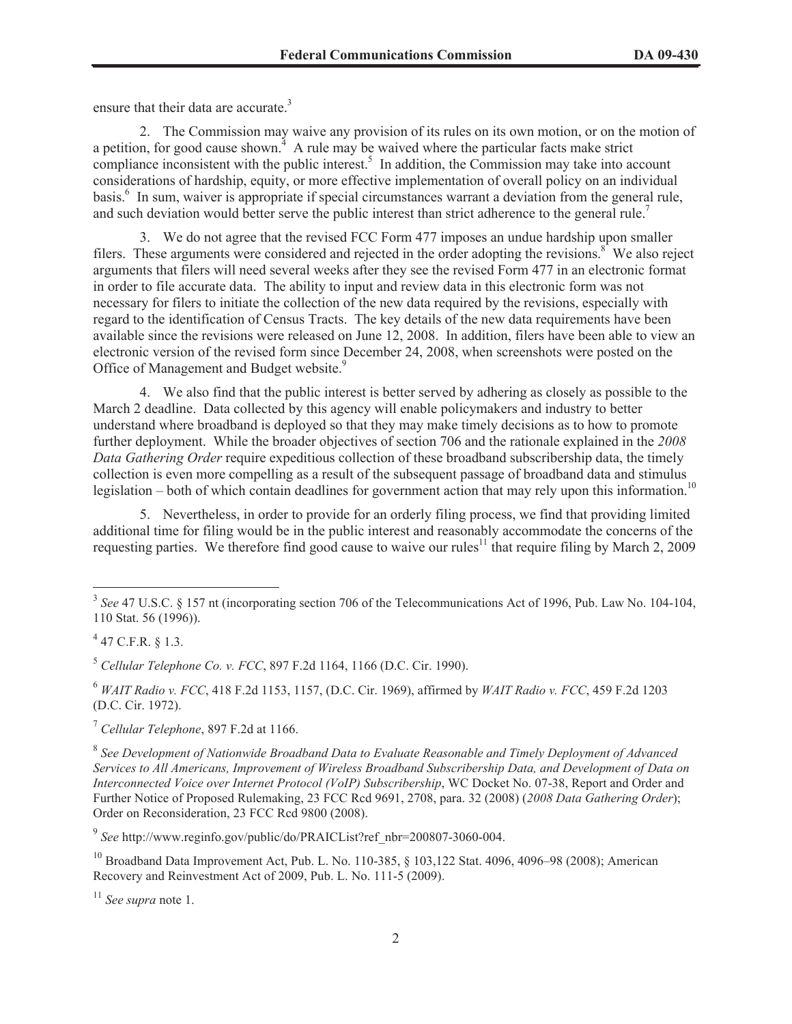ensure that their data are accurate.<sup>3</sup>

2. The Commission may waive any provision of its rules on its own motion, or on the motion of a petition, for good cause shown.<sup> $4$ </sup> A rule may be waived where the particular facts make strict compliance inconsistent with the public interest.<sup>5</sup> In addition, the Commission may take into account considerations of hardship, equity, or more effective implementation of overall policy on an individual basis.<sup>6</sup> In sum, waiver is appropriate if special circumstances warrant a deviation from the general rule, and such deviation would better serve the public interest than strict adherence to the general rule.<sup>7</sup>

3. We do not agree that the revised FCC Form 477 imposes an undue hardship upon smaller filers. These arguments were considered and rejected in the order adopting the revisions.<sup>8</sup> We also reject arguments that filers will need several weeks after they see the revised Form 477 in an electronic format in order to file accurate data. The ability to input and review data in this electronic form was not necessary for filers to initiate the collection of the new data required by the revisions, especially with regard to the identification of Census Tracts. The key details of the new data requirements have been available since the revisions were released on June 12, 2008. In addition, filers have been able to view an electronic version of the revised form since December 24, 2008, when screenshots were posted on the Office of Management and Budget website.<sup>9</sup>

4. We also find that the public interest is better served by adhering as closely as possible to the March 2 deadline. Data collected by this agency will enable policymakers and industry to better understand where broadband is deployed so that they may make timely decisions as to how to promote further deployment. While the broader objectives of section 706 and the rationale explained in the *2008 Data Gathering Order* require expeditious collection of these broadband subscribership data, the timely collection is even more compelling as a result of the subsequent passage of broadband data and stimulus legislation – both of which contain deadlines for government action that may rely upon this information.<sup>10</sup>

5. Nevertheless, in order to provide for an orderly filing process, we find that providing limited additional time for filing would be in the public interest and reasonably accommodate the concerns of the requesting parties. We therefore find good cause to waive our rules<sup>11</sup> that require filing by March 2, 2009

<sup>6</sup> *WAIT Radio v. FCC*, 418 F.2d 1153, 1157, (D.C. Cir. 1969), affirmed by *WAIT Radio v. FCC*, 459 F.2d 1203 (D.C. Cir. 1972).

7 *Cellular Telephone*, 897 F.2d at 1166.

<sup>8</sup> See Development of Nationwide Broadband Data to Evaluate Reasonable and Timely Deployment of Advanced *Services to All Americans, Improvement of Wireless Broadband Subscribership Data, and Development of Data on Interconnected Voice over Internet Protocol (VoIP) Subscribership*, WC Docket No. 07-38, Report and Order and Further Notice of Proposed Rulemaking, 23 FCC Rcd 9691, 2708, para. 32 (2008) (*2008 Data Gathering Order*); Order on Reconsideration, 23 FCC Rcd 9800 (2008).

9 *See* http://www.reginfo.gov/public/do/PRAICList?ref\_nbr=200807-3060-004.

<sup>10</sup> Broadband Data Improvement Act, Pub. L. No. 110-385, § 103,122 Stat. 4096, 4096–98 (2008); American Recovery and Reinvestment Act of 2009, Pub. L. No. 111-5 (2009).

<sup>11</sup> *See supra* note 1.

<sup>3</sup> *See* 47 U.S.C. § 157 nt (incorporating section 706 of the Telecommunications Act of 1996, Pub. Law No. 104-104, 110 Stat. 56 (1996)).

 $^{4}$  47 C.F.R. § 1.3.

<sup>5</sup> *Cellular Telephone Co. v. FCC*, 897 F.2d 1164, 1166 (D.C. Cir. 1990).